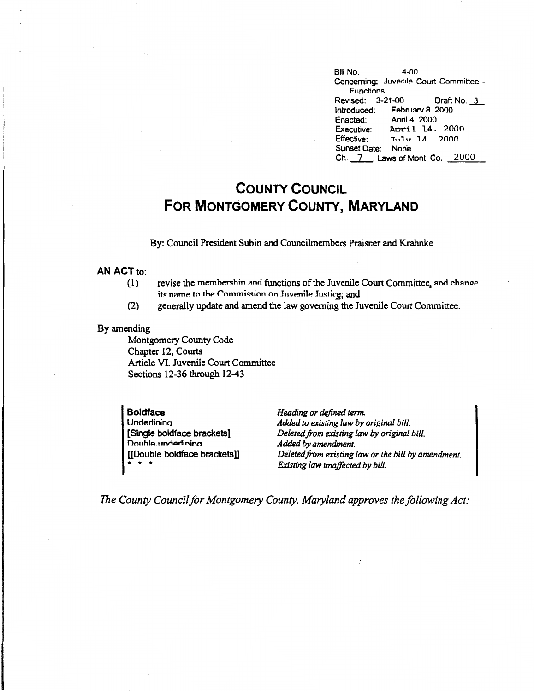Bill No. 4-00 Concerning: Juvenile Court Committee - Functions Revised: 3-21-00 Draft No. 3 Introduced: Februarv 8 2000 Enacted: Anni 4 2000 Executive: April 14, 2000<br>Effective: 5111v 14, 2000  $ETUUU$  1.4 2000 Sunset Date: None Ch. \_7\_, Laws of Mont. Co. 2000

## **COUNTY COUNCIL FOR MONTGOMERY COUNTY, MARYLAND**

By: Council President Subin and Councilmembers Praisner and Krahnke

## **AN ACT** to:

- (1) revise the membershin and functions of the Juvenile Court Committee, and chance its name to the Commission on Juvenile Justice; and
- (2) generally update and amend the law governing the Juvenile Court Committee.

## By amending

Montgomery County Code Chapter 12, Courts Article VI. Juvenile Court Committee Sections 12-36 through 12-43

**Boldface Underlinina** [Single boldface brackets] Double underlining [[Double boldface bracketsll  $* * * *$ 

*Heading or defined term. Added to existing law* by *original bill. Deleted.from existing law* by *original bill. Added by amendment. Deleted from existing law or the bill by amendment. Existing law unaffected by bill.* 

*The County Council for Montgomery County, Maryland approves the following Act:*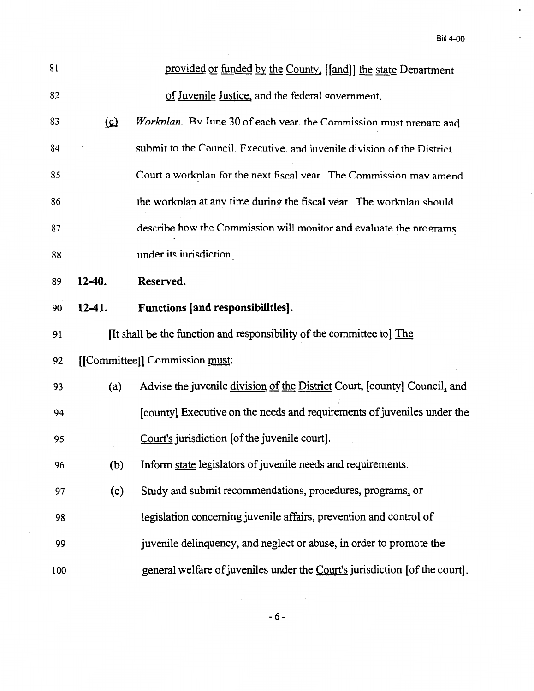$\epsilon$ 

| 81  |          | provided or funded by the County, [[and]] the state Department              |
|-----|----------|-----------------------------------------------------------------------------|
| 82  |          | of Juvenile Justice, and the federal government.                            |
| 83  | $\Omega$ | Workplan. By June 30 of each vear, the Commission must prepare and          |
| 84  |          | submit to the Council. Executive, and invenile division of the District     |
| 85  |          | Court a workplan for the next fiscal year. The Commission may amend         |
| 86  |          | the workplan at any time during the fiscal year. The workplan should        |
| 87  |          | describe how the Commission will monitor and evaluate the programs          |
| 88  |          | under its inrisdiction                                                      |
| 89  | $12-40.$ | Reserved.                                                                   |
| 90  | $12-41.$ | Functions [and responsibilities].                                           |
| 91  |          | [It shall be the function and responsibility of the committee to] The       |
| 92  |          | [[Committee]] Commission must:                                              |
| 93  | (a)      | Advise the juvenile division of the District Court, [county] Council, and   |
| 94  |          | [county] Executive on the needs and requirements of juveniles under the     |
| 95  |          | Court's jurisdiction [of the juvenile court].                               |
| 96  | (b)      | Inform state legislators of juvenile needs and requirements.                |
| 97  | (c)      | Study and submit recommendations, procedures, programs, or                  |
| 98  |          | legislation concerning juvenile affairs, prevention and control of          |
| 99  |          | juvenile delinquency, and neglect or abuse, in order to promote the         |
| 100 |          | general welfare of juveniles under the Court's jurisdiction [of the court]. |

-6-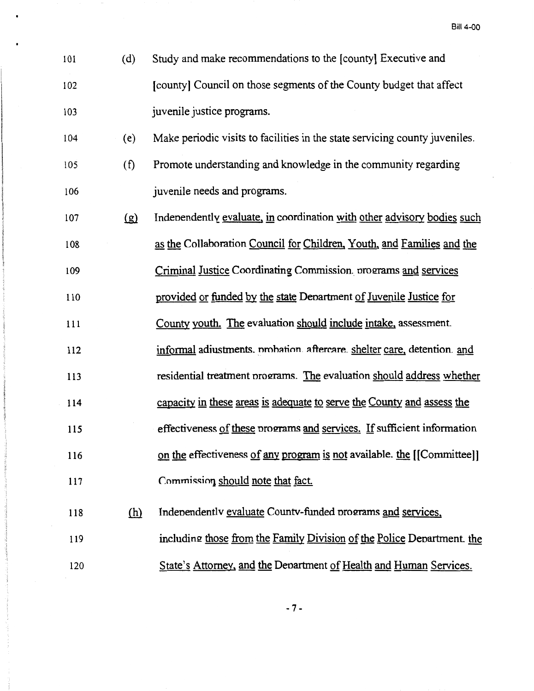- 101 (d) Study and make recommendations to the [county] Executive and 102 [county] Council on those segments of the County budget that affect 103 juvenile justice programs.
- l 04 ( e) Make periodic visits to facilities in the state servicing county juveniles.
- 105 ( f) Promote understanding and knowledge in the community regarding 106 **juvenile needs and programs.**
- $\log$  Indenendently evaluate, in coordination with other advisory bodies such 108 as the Collaboration Council for Children, Youth, and Families and the
- 109 Criminal Justice Coordinating Commission. programs and services
- 110 provided or funded by the state Department of Juvenile Justice for
- 111 County youth. The evaluation should include intake, assessment.
- 112 informal adiustments, probation, aftercare, shelter care, detention, and
- 113 residential treatment programs. The evaluation should address whether
- 114 capacity in these areas is adequate to serve the County and assess the
- 115 effectiveness of these programs and services. If sufficient information
- 116 on the effectiveness of any program is not available. the [[Committee]]
- 117 *Commission should note that fact.*
- 118 (h) Independently evaluate County-funded programs and services, 119 120 including those from the Family Division of the Police Denartment. the State's Attorney, and the Denartment of Health and Human Services.

-7-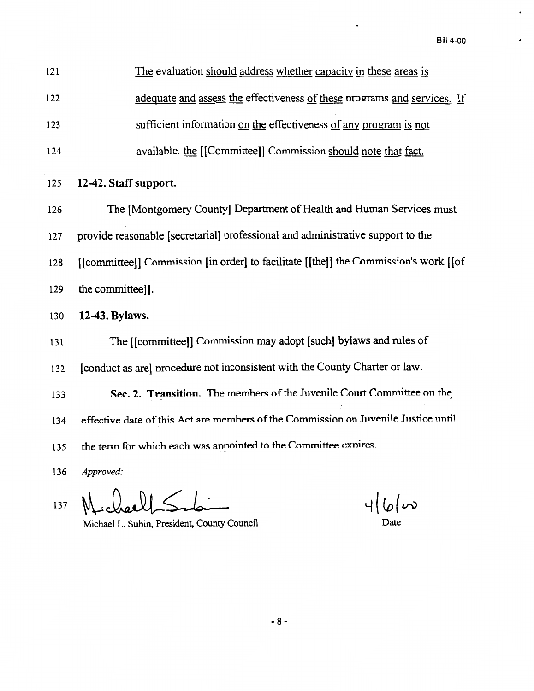Bill 4-00

 $\ddot{\phantom{1}}$ 

 $\blacksquare$ 

| 121 | The evaluation should address whether capacity in these areas is                     |  |  |
|-----|--------------------------------------------------------------------------------------|--|--|
| 122 | adequate and assess the effectiveness of these programs and services. If             |  |  |
| 123 | sufficient information on the effectiveness of any program is not                    |  |  |
| 124 | available. the [[Committee]] Commission should note that fact.                       |  |  |
| 125 | 12-42. Staff support.                                                                |  |  |
| 126 | The [Montgomery County] Department of Health and Human Services must                 |  |  |
| 127 | provide reasonable [secretarial] professional and administrative support to the      |  |  |
| 128 | [[committee]] Commission [in order] to facilitate [[the]] the Commission's work [[of |  |  |
| 129 | the committee]].                                                                     |  |  |
| 130 | 12-43. Bylaws.                                                                       |  |  |
| 131 | The [[committee]] Commission may adopt [such] bylaws and rules of                    |  |  |
| 132 | [conduct as are] procedure not inconsistent with the County Charter or law.          |  |  |
| 133 | Sec. 2. Transition. The members of the Juvenile Court Committee on the               |  |  |
| 134 | effective date of this Act are members of the Commission on Juvenile Justice until   |  |  |
| 135 | the term for which each was annointed to the Committee exnires.                      |  |  |
| 136 | Approved:                                                                            |  |  |
|     | $\mathbf{1}$ $\mathbf{1}$ $\mathbf{1}$ $\mathbf{1}$                                  |  |  |

MichaelpSilai 137

Michael L. Subin, President, County Council Date Date

 $46\omega$